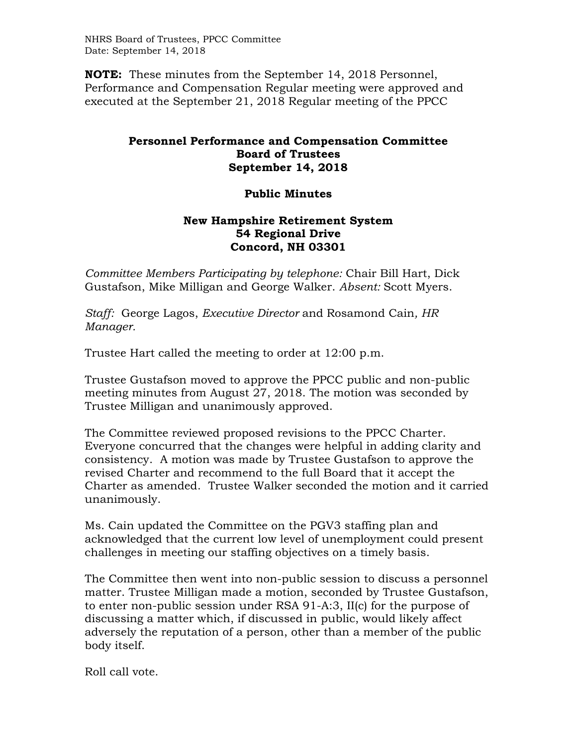NHRS Board of Trustees, PPCC Committee Date: September 14, 2018

**NOTE:** These minutes from the September 14, 2018 Personnel, Performance and Compensation Regular meeting were approved and executed at the September 21, 2018 Regular meeting of the PPCC

## **Personnel Performance and Compensation Committee Board of Trustees September 14, 2018**

## **Public Minutes**

## **New Hampshire Retirement System 54 Regional Drive Concord, NH 03301**

*Committee Members Participating by telephone:* Chair Bill Hart, Dick Gustafson, Mike Milligan and George Walker. *Absent:* Scott Myers.

*Staff:* George Lagos, *Executive Director* and Rosamond Cain*, HR Manager.* 

Trustee Hart called the meeting to order at 12:00 p.m.

Trustee Gustafson moved to approve the PPCC public and non-public meeting minutes from August 27, 2018. The motion was seconded by Trustee Milligan and unanimously approved.

The Committee reviewed proposed revisions to the PPCC Charter. Everyone concurred that the changes were helpful in adding clarity and consistency. A motion was made by Trustee Gustafson to approve the revised Charter and recommend to the full Board that it accept the Charter as amended. Trustee Walker seconded the motion and it carried unanimously.

Ms. Cain updated the Committee on the PGV3 staffing plan and acknowledged that the current low level of unemployment could present challenges in meeting our staffing objectives on a timely basis.

The Committee then went into non-public session to discuss a personnel matter. Trustee Milligan made a motion, seconded by Trustee Gustafson, to enter non-public session under RSA 91-A:3, II(c) for the purpose of discussing a matter which, if discussed in public, would likely affect adversely the reputation of a person, other than a member of the public body itself.

Roll call vote.